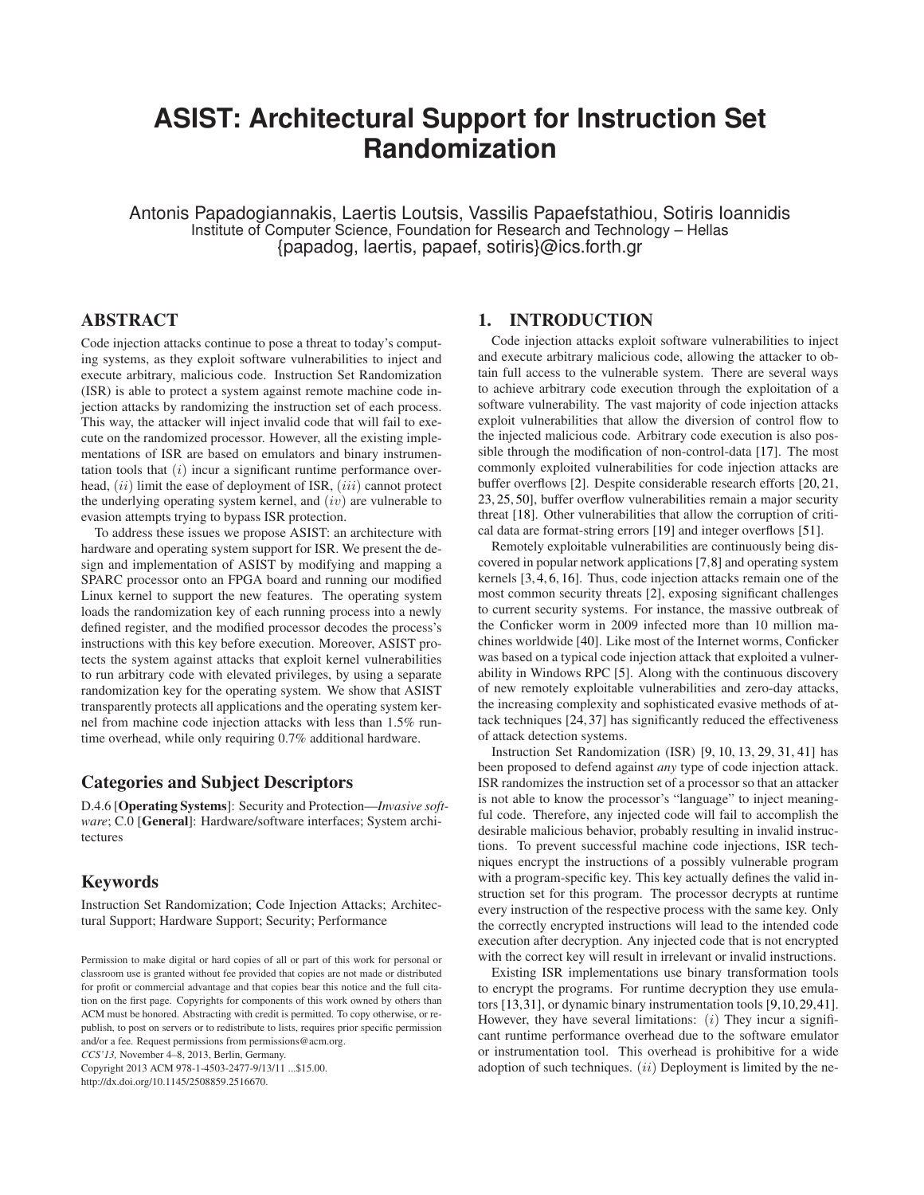# **ASIST: Architectural Support for Instruction Set Randomization**

Antonis Papadogiannakis, Laertis Loutsis, Vassilis Papaefstathiou, Sotiris Ioannidis Institute of Computer Science, Foundation for Research and Technology – Hellas {papadog, laertis, papaef, sotiris}@ics.forth.gr

# **ABSTRACT**

Code injection attacks continue to pose a threat to today's computing systems, as they exploit software vulnerabilities to inject and execute arbitrary, malicious code. Instruction Set Randomization (ISR) is able to protect a system against remote machine code injection attacks by randomizing the instruction set of each process. This way, the attacker will inject invalid code that will fail to execute on the randomized processor. However, all the existing implementations of ISR are based on emulators and binary instrumentation tools that  $(i)$  incur a significant runtime performance overhead,  $(ii)$  limit the ease of deployment of ISR,  $(iii)$  cannot protect the underlying operating system kernel, and  $(iv)$  are vulnerable to evasion attempts trying to bypass ISR protection.

To address these issues we propose ASIST: an architecture with hardware and operating system support for ISR. We present the design and implementation of ASIST by modifying and mapping a SPARC processor onto an FPGA board and running our modified Linux kernel to support the new features. The operating system loads the randomization key of each running process into a newly defined register, and the modified processor decodes the process's instructions with this key before execution. Moreover, ASIST protects the system against attacks that exploit kernel vulnerabilities to run arbitrary code with elevated privileges, by using a separate randomization key for the operating system. We show that ASIST transparently protects all applications and the operating system kernel from machine code injection attacks with less than 1.5% runtime overhead, while only requiring 0.7% additional hardware.

## **Categories and Subject Descriptors**

D.4.6 [**Operating Systems**]: Security and Protection—*Invasive software*; C.0 [**General**]: Hardware/software interfaces; System architectures

## **Keywords**

Instruction Set Randomization; Code Injection Attacks; Architectural Support; Hardware Support; Security; Performance

*CCS'13,* November 4–8, 2013, Berlin, Germany.

Copyright 2013 ACM 978-1-4503-2477-9/13/11 ...\$15.00. http://dx.doi.org/10.1145/2508859.2516670.

## **1. INTRODUCTION**

Code injection attacks exploit software vulnerabilities to inject and execute arbitrary malicious code, allowing the attacker to obtain full access to the vulnerable system. There are several ways to achieve arbitrary code execution through the exploitation of a software vulnerability. The vast majority of code injection attacks exploit vulnerabilities that allow the diversion of control flow to the injected malicious code. Arbitrary code execution is also possible through the modification of non-control-data [\[17\]](#page-11-0). The most commonly exploited vulnerabilities for code injection attacks are buffer overflows [\[2\]](#page-11-1). Despite considerable research efforts [\[20,](#page-11-2) [21,](#page-11-3) [23,](#page-11-4) [25,](#page-11-5) [50\]](#page-11-6), buffer overflow vulnerabilities remain a major security threat [\[18\]](#page-11-7). Other vulnerabilities that allow the corruption of critical data are format-string errors [\[19\]](#page-11-8) and integer overflows [\[51\]](#page-11-9).

Remotely exploitable vulnerabilities are continuously being discovered in popular network applications [\[7,](#page-11-10)[8\]](#page-11-11) and operating system kernels [\[3,](#page-11-12) [4,](#page-11-13) [6,](#page-11-14) [16\]](#page-11-15). Thus, code injection attacks remain one of the most common security threats [\[2\]](#page-11-1), exposing significant challenges to current security systems. For instance, the massive outbreak of the Conficker worm in 2009 infected more than 10 million machines worldwide [\[40\]](#page-11-16). Like most of the Internet worms, Conficker was based on a typical code injection attack that exploited a vulnerability in Windows RPC [\[5\]](#page-11-17). Along with the continuous discovery of new remotely exploitable vulnerabilities and zero-day attacks, the increasing complexity and sophisticated evasive methods of attack techniques [\[24,](#page-11-18) [37\]](#page-11-19) has significantly reduced the effectiveness of attack detection systems.

Instruction Set Randomization (ISR) [\[9,](#page-11-20) [10,](#page-11-21) [13,](#page-11-22) [29,](#page-11-23) [31,](#page-11-24) [41\]](#page-11-25) has been proposed to defend against *any* type of code injection attack. ISR randomizes the instruction set of a processor so that an attacker is not able to know the processor's "language" to inject meaningful code. Therefore, any injected code will fail to accomplish the desirable malicious behavior, probably resulting in invalid instructions. To prevent successful machine code injections, ISR techniques encrypt the instructions of a possibly vulnerable program with a program-specific key. This key actually defines the valid instruction set for this program. The processor decrypts at runtime every instruction of the respective process with the same key. Only the correctly encrypted instructions will lead to the intended code execution after decryption. Any injected code that is not encrypted with the correct key will result in irrelevant or invalid instructions.

Existing ISR implementations use binary transformation tools to encrypt the programs. For runtime decryption they use emulators [\[13,](#page-11-22)[31\]](#page-11-24), or dynamic binary instrumentation tools [\[9,](#page-11-20)[10,](#page-11-21)[29,](#page-11-23)[41\]](#page-11-25). However, they have several limitations:  $(i)$  They incur a significant runtime performance overhead due to the software emulator or instrumentation tool. This overhead is prohibitive for a wide adoption of such techniques.  $(ii)$  Deployment is limited by the ne-

Permission to make digital or hard copies of all or part of this work for personal or classroom use is granted without fee provided that copies are not made or distributed for profit or commercial advantage and that copies bear this notice and the full citation on the first page. Copyrights for components of this work owned by others than ACM must be honored. Abstracting with credit is permitted. To copy otherwise, or republish, to post on servers or to redistribute to lists, requires prior specific permission and/or a fee. Request permissions from permissions@acm.org.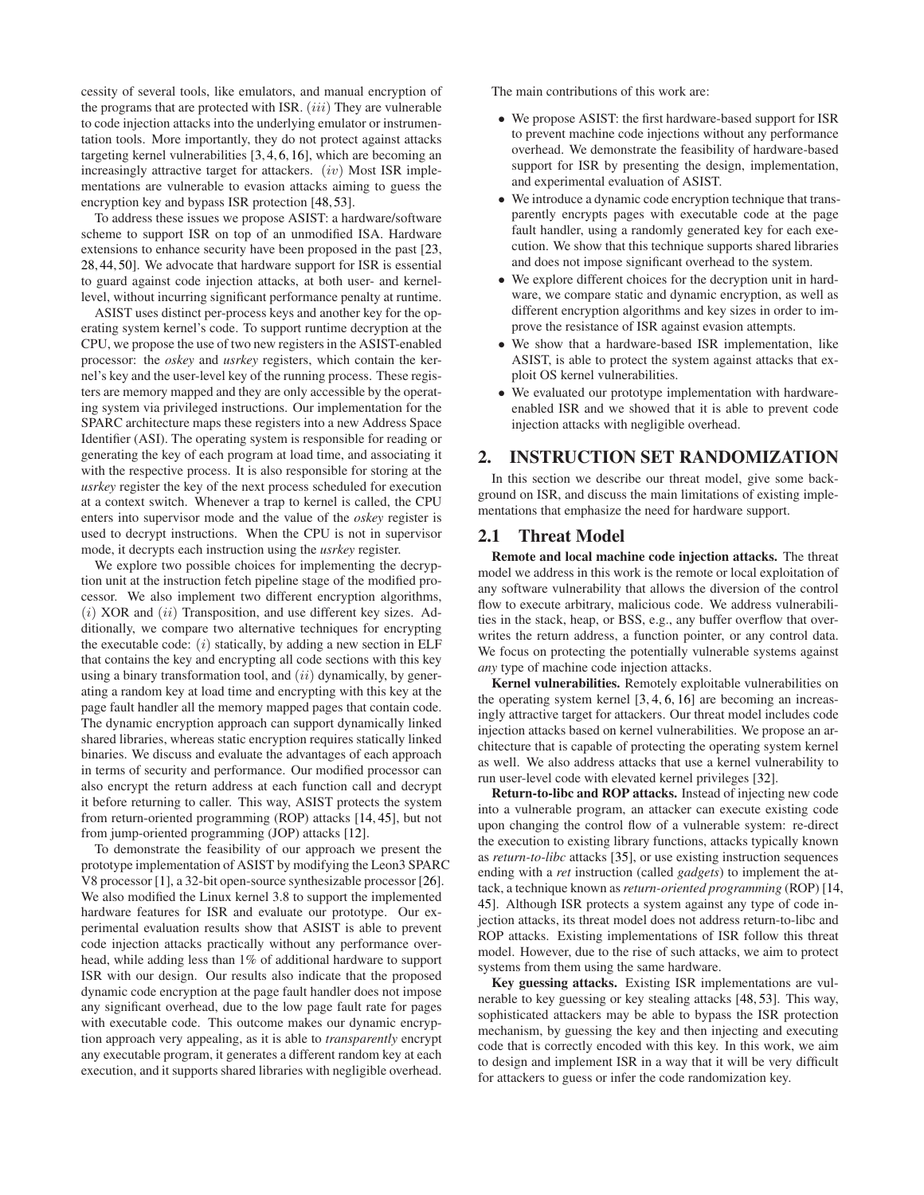cessity of several tools, like emulators, and manual encryption of the programs that are protected with ISR.  $(iii)$  They are vulnerable to code injection attacks into the underlying emulator or instrumentation tools. More importantly, they do not protect against attacks targeting kernel vulnerabilities [\[3,](#page-11-12) [4,](#page-11-13) [6,](#page-11-14) [16\]](#page-11-15), which are becoming an increasingly attractive target for attackers.  $(iv)$  Most ISR implementations are vulnerable to evasion attacks aiming to guess the encryption key and bypass ISR protection [\[48,](#page-11-26) [53\]](#page-11-27).

To address these issues we propose ASIST: a hardware/software scheme to support ISR on top of an unmodified ISA. Hardware extensions to enhance security have been proposed in the past [\[23,](#page-11-4) [28,](#page-11-28) [44,](#page-11-29) [50\]](#page-11-6). We advocate that hardware support for ISR is essential to guard against code injection attacks, at both user- and kernellevel, without incurring significant performance penalty at runtime.

ASIST uses distinct per-process keys and another key for the operating system kernel's code. To support runtime decryption at the CPU, we propose the use of two new registers in the ASIST-enabled processor: the *oskey* and *usrkey* registers, which contain the kernel's key and the user-level key of the running process. These registers are memory mapped and they are only accessible by the operating system via privileged instructions. Our implementation for the SPARC architecture maps these registers into a new Address Space Identifier (ASI). The operating system is responsible for reading or generating the key of each program at load time, and associating it with the respective process. It is also responsible for storing at the *usrkey* register the key of the next process scheduled for execution at a context switch. Whenever a trap to kernel is called, the CPU enters into supervisor mode and the value of the *oskey* register is used to decrypt instructions. When the CPU is not in supervisor mode, it decrypts each instruction using the *usrkey* register.

We explore two possible choices for implementing the decryption unit at the instruction fetch pipeline stage of the modified processor. We also implement two different encryption algorithms,  $(i)$  XOR and  $(ii)$  Transposition, and use different key sizes. Additionally, we compare two alternative techniques for encrypting the executable code:  $(i)$  statically, by adding a new section in ELF that contains the key and encrypting all code sections with this key using a binary transformation tool, and  $(ii)$  dynamically, by generating a random key at load time and encrypting with this key at the page fault handler all the memory mapped pages that contain code. The dynamic encryption approach can support dynamically linked shared libraries, whereas static encryption requires statically linked binaries. We discuss and evaluate the advantages of each approach in terms of security and performance. Our modified processor can also encrypt the return address at each function call and decrypt it before returning to caller. This way, ASIST protects the system from return-oriented programming (ROP) attacks [\[14,](#page-11-30) [45\]](#page-11-31), but not from jump-oriented programming (JOP) attacks [\[12\]](#page-11-32).

To demonstrate the feasibility of our approach we present the prototype implementation of ASIST by modifying the Leon3 SPARC V8 processor [\[1\]](#page-11-33), a 32-bit open-source synthesizable processor [\[26\]](#page-11-34). We also modified the Linux kernel 3.8 to support the implemented hardware features for ISR and evaluate our prototype. Our experimental evaluation results show that ASIST is able to prevent code injection attacks practically without any performance overhead, while adding less than 1% of additional hardware to support ISR with our design. Our results also indicate that the proposed dynamic code encryption at the page fault handler does not impose any significant overhead, due to the low page fault rate for pages with executable code. This outcome makes our dynamic encryption approach very appealing, as it is able to *transparently* encrypt any executable program, it generates a different random key at each execution, and it supports shared libraries with negligible overhead.

The main contributions of this work are:

- We propose ASIST: the first hardware-based support for ISR to prevent machine code injections without any performance overhead. We demonstrate the feasibility of hardware-based support for ISR by presenting the design, implementation, and experimental evaluation of ASIST.
- We introduce a dynamic code encryption technique that transparently encrypts pages with executable code at the page fault handler, using a randomly generated key for each execution. We show that this technique supports shared libraries and does not impose significant overhead to the system.
- We explore different choices for the decryption unit in hardware, we compare static and dynamic encryption, as well as different encryption algorithms and key sizes in order to improve the resistance of ISR against evasion attempts.
- We show that a hardware-based ISR implementation, like ASIST, is able to protect the system against attacks that exploit OS kernel vulnerabilities.
- We evaluated our prototype implementation with hardwareenabled ISR and we showed that it is able to prevent code injection attacks with negligible overhead.

# **2. INSTRUCTION SET RANDOMIZATION**

In this section we describe our threat model, give some background on ISR, and discuss the main limitations of existing implementations that emphasize the need for hardware support.

#### **2.1 Threat Model**

**Remote and local machine code injection attacks.** The threat model we address in this work is the remote or local exploitation of any software vulnerability that allows the diversion of the control flow to execute arbitrary, malicious code. We address vulnerabilities in the stack, heap, or BSS, e.g., any buffer overflow that overwrites the return address, a function pointer, or any control data. We focus on protecting the potentially vulnerable systems against *any* type of machine code injection attacks.

**Kernel vulnerabilities.** Remotely exploitable vulnerabilities on the operating system kernel [\[3,](#page-11-12) [4,](#page-11-13) [6,](#page-11-14) [16\]](#page-11-15) are becoming an increasingly attractive target for attackers. Our threat model includes code injection attacks based on kernel vulnerabilities. We propose an architecture that is capable of protecting the operating system kernel as well. We also address attacks that use a kernel vulnerability to run user-level code with elevated kernel privileges [\[32\]](#page-11-35).

**Return-to-libc and ROP attacks.** Instead of injecting new code into a vulnerable program, an attacker can execute existing code upon changing the control flow of a vulnerable system: re-direct the execution to existing library functions, attacks typically known as *return-to-libc* attacks [\[35\]](#page-11-36), or use existing instruction sequences ending with a *ret* instruction (called *gadgets*) to implement the attack, a technique known as*return-oriented programming* (ROP) [\[14,](#page-11-30) [45\]](#page-11-31). Although ISR protects a system against any type of code injection attacks, its threat model does not address return-to-libc and ROP attacks. Existing implementations of ISR follow this threat model. However, due to the rise of such attacks, we aim to protect systems from them using the same hardware.

**Key guessing attacks.** Existing ISR implementations are vulnerable to key guessing or key stealing attacks [\[48,](#page-11-26) [53\]](#page-11-27). This way, sophisticated attackers may be able to bypass the ISR protection mechanism, by guessing the key and then injecting and executing code that is correctly encoded with this key. In this work, we aim to design and implement ISR in a way that it will be very difficult for attackers to guess or infer the code randomization key.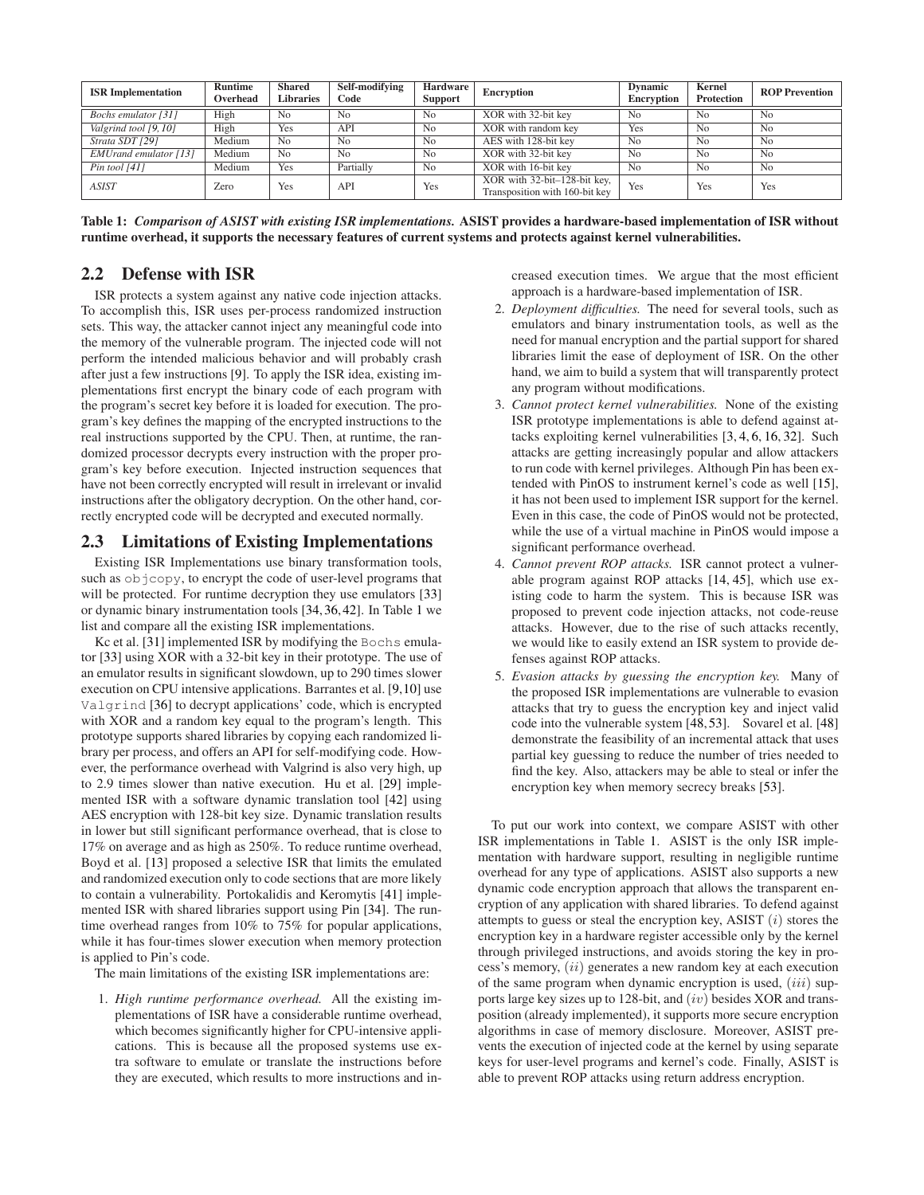| <b>ISR</b> Implementation | <b>Runtime</b><br>Overhead | <b>Shared</b><br><b>Libraries</b> | Self-modifying<br>Code | Hardware<br><b>Support</b> | <b>Encryption</b>                                                | <b>Dynamic</b><br><b>Encryption</b> | <b>Kernel</b><br>Protection | <b>ROP Prevention</b> |
|---------------------------|----------------------------|-----------------------------------|------------------------|----------------------------|------------------------------------------------------------------|-------------------------------------|-----------------------------|-----------------------|
| Bochs emulator [31]       | High                       | No                                | N <sub>0</sub>         | No                         | XOR with 32-bit key                                              | No                                  | No                          | N <sub>0</sub>        |
| Valgrind tool [9, 10]     | High                       | Yes                               | API                    | No                         | XOR with random key                                              | Yes                                 | N <sub>0</sub>              | N <sub>0</sub>        |
| Strata SDT [29]           | Medium                     | N <sub>0</sub>                    | N <sub>0</sub>         | N <sub>o</sub>             | AES with 128-bit key                                             | N <sub>0</sub>                      | N <sub>0</sub>              | N <sub>0</sub>        |
| EMUrand emulator [13]     | Medium                     | N <sub>0</sub>                    | N <sub>0</sub>         | N <sub>o</sub>             | XOR with 32-bit key                                              | N <sub>0</sub>                      | N <sub>0</sub>              | N <sub>0</sub>        |
| Pin tool [41]             | Medium                     | Yes                               | Partially              | N <sub>o</sub>             | XOR with 16-bit key                                              | N <sub>0</sub>                      | N <sub>0</sub>              | N <sub>0</sub>        |
| <b>ASIST</b>              | Zero                       | Yes                               | API                    | Yes                        | $XOR$ with 32-bit-128-bit key,<br>Transposition with 160-bit key | Yes                                 | Yes                         | Yes                   |

<span id="page-2-0"></span>**Table 1:** *Comparison of ASIST with existing ISR implementations.* **ASIST provides a hardware-based implementation of ISR without runtime overhead, it supports the necessary features of current systems and protects against kernel vulnerabilities.**

# **2.2 Defense with ISR**

ISR protects a system against any native code injection attacks. To accomplish this, ISR uses per-process randomized instruction sets. This way, the attacker cannot inject any meaningful code into the memory of the vulnerable program. The injected code will not perform the intended malicious behavior and will probably crash after just a few instructions [\[9\]](#page-11-20). To apply the ISR idea, existing implementations first encrypt the binary code of each program with the program's secret key before it is loaded for execution. The program's key defines the mapping of the encrypted instructions to the real instructions supported by the CPU. Then, at runtime, the randomized processor decrypts every instruction with the proper program's key before execution. Injected instruction sequences that have not been correctly encrypted will result in irrelevant or invalid instructions after the obligatory decryption. On the other hand, correctly encrypted code will be decrypted and executed normally.

## <span id="page-2-1"></span>**2.3 Limitations of Existing Implementations**

Existing ISR Implementations use binary transformation tools, such as  $objcopy$ , to encrypt the code of user-level programs that will be protected. For runtime decryption they use emulators [\[33\]](#page-11-37) or dynamic binary instrumentation tools [\[34,](#page-11-38)[36,](#page-11-39)[42\]](#page-11-40). In Table [1](#page-2-0) we list and compare all the existing ISR implementations.

Kc et al. [\[31\]](#page-11-24) implemented ISR by modifying the Bochs emulator [\[33\]](#page-11-37) using XOR with a 32-bit key in their prototype. The use of an emulator results in significant slowdown, up to 290 times slower execution on CPU intensive applications. Barrantes et al. [\[9,](#page-11-20)[10\]](#page-11-21) use Valgrind [\[36\]](#page-11-39) to decrypt applications' code, which is encrypted with XOR and a random key equal to the program's length. This prototype supports shared libraries by copying each randomized library per process, and offers an API for self-modifying code. However, the performance overhead with Valgrind is also very high, up to 2.9 times slower than native execution. Hu et al. [\[29\]](#page-11-23) implemented ISR with a software dynamic translation tool [\[42\]](#page-11-40) using AES encryption with 128-bit key size. Dynamic translation results in lower but still significant performance overhead, that is close to 17% on average and as high as 250%. To reduce runtime overhead, Boyd et al. [\[13\]](#page-11-22) proposed a selective ISR that limits the emulated and randomized execution only to code sections that are more likely to contain a vulnerability. Portokalidis and Keromytis [\[41\]](#page-11-25) implemented ISR with shared libraries support using Pin [\[34\]](#page-11-38). The runtime overhead ranges from 10% to 75% for popular applications, while it has four-times slower execution when memory protection is applied to Pin's code.

The main limitations of the existing ISR implementations are:

1. *High runtime performance overhead.* All the existing implementations of ISR have a considerable runtime overhead, which becomes significantly higher for CPU-intensive applications. This is because all the proposed systems use extra software to emulate or translate the instructions before they are executed, which results to more instructions and increased execution times. We argue that the most efficient approach is a hardware-based implementation of ISR.

- 2. *Deployment difficulties.* The need for several tools, such as emulators and binary instrumentation tools, as well as the need for manual encryption and the partial support for shared libraries limit the ease of deployment of ISR. On the other hand, we aim to build a system that will transparently protect any program without modifications.
- 3. *Cannot protect kernel vulnerabilities.* None of the existing ISR prototype implementations is able to defend against attacks exploiting kernel vulnerabilities [\[3,](#page-11-12) [4,](#page-11-13) [6,](#page-11-14) [16,](#page-11-15) [32\]](#page-11-35). Such attacks are getting increasingly popular and allow attackers to run code with kernel privileges. Although Pin has been extended with PinOS to instrument kernel's code as well [\[15\]](#page-11-41), it has not been used to implement ISR support for the kernel. Even in this case, the code of PinOS would not be protected, while the use of a virtual machine in PinOS would impose a significant performance overhead.
- 4. *Cannot prevent ROP attacks.* ISR cannot protect a vulnerable program against ROP attacks [\[14,](#page-11-30) [45\]](#page-11-31), which use existing code to harm the system. This is because ISR was proposed to prevent code injection attacks, not code-reuse attacks. However, due to the rise of such attacks recently, we would like to easily extend an ISR system to provide defenses against ROP attacks.
- 5. *Evasion attacks by guessing the encryption key.* Many of the proposed ISR implementations are vulnerable to evasion attacks that try to guess the encryption key and inject valid code into the vulnerable system [\[48,](#page-11-26)[53\]](#page-11-27). Sovarel et al. [\[48\]](#page-11-26) demonstrate the feasibility of an incremental attack that uses partial key guessing to reduce the number of tries needed to find the key. Also, attackers may be able to steal or infer the encryption key when memory secrecy breaks [\[53\]](#page-11-27).

To put our work into context, we compare ASIST with other ISR implementations in Table [1.](#page-2-0) ASIST is the only ISR implementation with hardware support, resulting in negligible runtime overhead for any type of applications. ASIST also supports a new dynamic code encryption approach that allows the transparent encryption of any application with shared libraries. To defend against attempts to guess or steal the encryption key, ASIST  $(i)$  stores the encryption key in a hardware register accessible only by the kernel through privileged instructions, and avoids storing the key in process's memory, (ii) generates a new random key at each execution of the same program when dynamic encryption is used,  $(iii)$  supports large key sizes up to 128-bit, and  $(iv)$  besides XOR and transposition (already implemented), it supports more secure encryption algorithms in case of memory disclosure. Moreover, ASIST prevents the execution of injected code at the kernel by using separate keys for user-level programs and kernel's code. Finally, ASIST is able to prevent ROP attacks using return address encryption.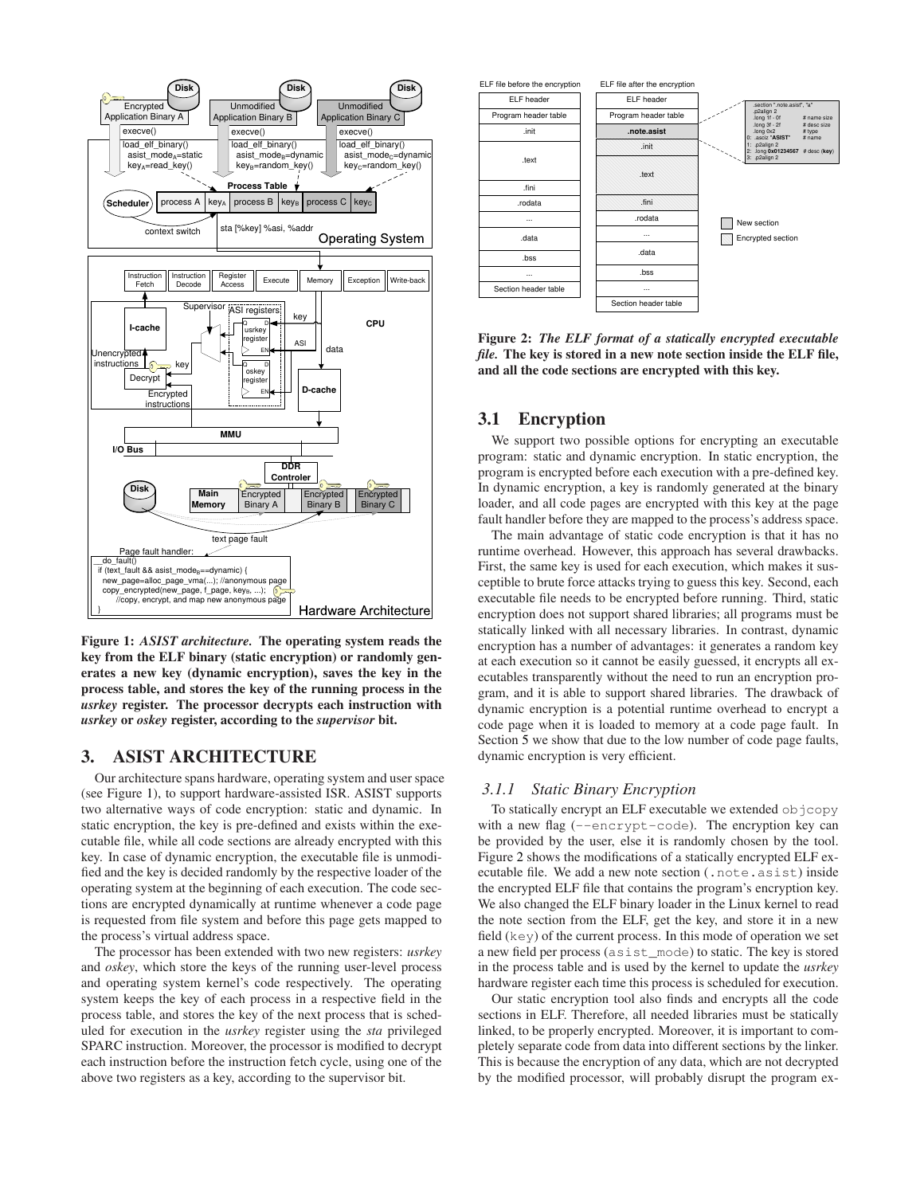

<span id="page-3-0"></span>**Figure 1:** *ASIST architecture.* **The operating system reads the key from the ELF binary (static encryption) or randomly generates a new key (dynamic encryption), saves the key in the process table, and stores the key of the running process in the** *usrkey* **register. The processor decrypts each instruction with** *usrkey* **or** *oskey* **register, according to the** *supervisor* **bit.**

# **3. ASIST ARCHITECTURE**

Our architecture spans hardware, operating system and user space (see Figure [1\)](#page-3-0), to support hardware-assisted ISR. ASIST supports two alternative ways of code encryption: static and dynamic. In static encryption, the key is pre-defined and exists within the executable file, while all code sections are already encrypted with this key. In case of dynamic encryption, the executable file is unmodified and the key is decided randomly by the respective loader of the operating system at the beginning of each execution. The code sections are encrypted dynamically at runtime whenever a code page is requested from file system and before this page gets mapped to the process's virtual address space.

The processor has been extended with two new registers: *usrkey* and *oskey*, which store the keys of the running user-level process and operating system kernel's code respectively. The operating system keeps the key of each process in a respective field in the process table, and stores the key of the next process that is scheduled for execution in the *usrkey* register using the *sta* privileged SPARC instruction. Moreover, the processor is modified to decrypt each instruction before the instruction fetch cycle, using one of the above two registers as a key, according to the supervisor bit.



<span id="page-3-1"></span>**Figure 2:** *The ELF format of a statically encrypted executable file.* **The key is stored in a new note section inside the ELF file, and all the code sections are encrypted with this key.**

# **3.1 Encryption**

We support two possible options for encrypting an executable program: static and dynamic encryption. In static encryption, the program is encrypted before each execution with a pre-defined key. In dynamic encryption, a key is randomly generated at the binary loader, and all code pages are encrypted with this key at the page fault handler before they are mapped to the process's address space.

The main advantage of static code encryption is that it has no runtime overhead. However, this approach has several drawbacks. First, the same key is used for each execution, which makes it susceptible to brute force attacks trying to guess this key. Second, each executable file needs to be encrypted before running. Third, static encryption does not support shared libraries; all programs must be statically linked with all necessary libraries. In contrast, dynamic encryption has a number of advantages: it generates a random key at each execution so it cannot be easily guessed, it encrypts all executables transparently without the need to run an encryption program, and it is able to support shared libraries. The drawback of dynamic encryption is a potential runtime overhead to encrypt a code page when it is loaded to memory at a code page fault. In Section [5](#page-8-0) we show that due to the low number of code page faults, dynamic encryption is very efficient.

#### *3.1.1 Static Binary Encryption*

To statically encrypt an ELF executable we extended objcopy with a new flag  $(-\text{energy}t\text{-code})$ . The encryption key can be provided by the user, else it is randomly chosen by the tool. Figure [2](#page-3-1) shows the modifications of a statically encrypted ELF executable file. We add a new note section (.note.asist) inside the encrypted ELF file that contains the program's encryption key. We also changed the ELF binary loader in the Linux kernel to read the note section from the ELF, get the key, and store it in a new field  $(key)$  of the current process. In this mode of operation we set a new field per process (asist\_mode) to static. The key is stored in the process table and is used by the kernel to update the *usrkey* hardware register each time this process is scheduled for execution.

Our static encryption tool also finds and encrypts all the code sections in ELF. Therefore, all needed libraries must be statically linked, to be properly encrypted. Moreover, it is important to completely separate code from data into different sections by the linker. This is because the encryption of any data, which are not decrypted by the modified processor, will probably disrupt the program ex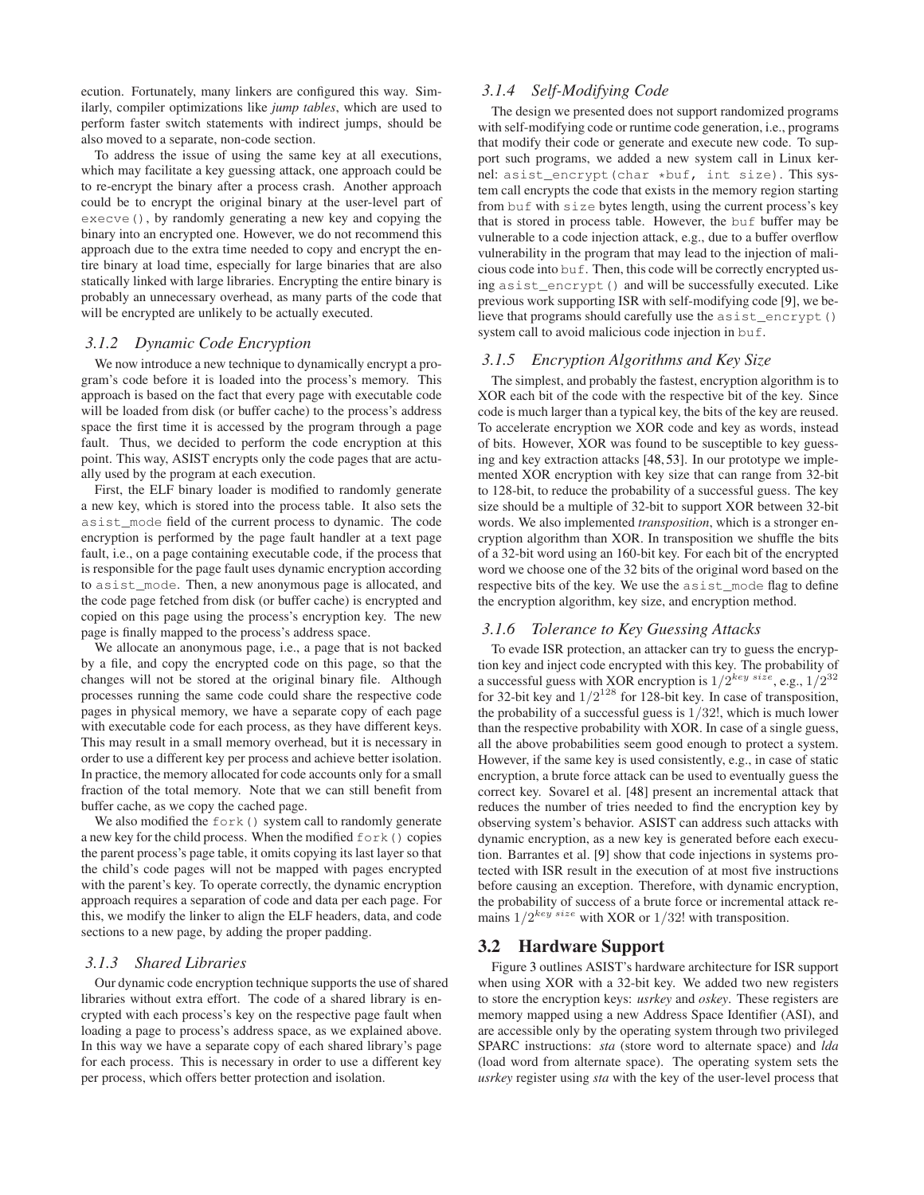ecution. Fortunately, many linkers are configured this way. Similarly, compiler optimizations like *jump tables*, which are used to perform faster switch statements with indirect jumps, should be also moved to a separate, non-code section.

To address the issue of using the same key at all executions, which may facilitate a key guessing attack, one approach could be to re-encrypt the binary after a process crash. Another approach could be to encrypt the original binary at the user-level part of execve(), by randomly generating a new key and copying the binary into an encrypted one. However, we do not recommend this approach due to the extra time needed to copy and encrypt the entire binary at load time, especially for large binaries that are also statically linked with large libraries. Encrypting the entire binary is probably an unnecessary overhead, as many parts of the code that will be encrypted are unlikely to be actually executed.

#### *3.1.2 Dynamic Code Encryption*

We now introduce a new technique to dynamically encrypt a program's code before it is loaded into the process's memory. This approach is based on the fact that every page with executable code will be loaded from disk (or buffer cache) to the process's address space the first time it is accessed by the program through a page fault. Thus, we decided to perform the code encryption at this point. This way, ASIST encrypts only the code pages that are actually used by the program at each execution.

First, the ELF binary loader is modified to randomly generate a new key, which is stored into the process table. It also sets the asist\_mode field of the current process to dynamic. The code encryption is performed by the page fault handler at a text page fault, i.e., on a page containing executable code, if the process that is responsible for the page fault uses dynamic encryption according to asist\_mode. Then, a new anonymous page is allocated, and the code page fetched from disk (or buffer cache) is encrypted and copied on this page using the process's encryption key. The new page is finally mapped to the process's address space.

We allocate an anonymous page, i.e., a page that is not backed by a file, and copy the encrypted code on this page, so that the changes will not be stored at the original binary file. Although processes running the same code could share the respective code pages in physical memory, we have a separate copy of each page with executable code for each process, as they have different keys. This may result in a small memory overhead, but it is necessary in order to use a different key per process and achieve better isolation. In practice, the memory allocated for code accounts only for a small fraction of the total memory. Note that we can still benefit from buffer cache, as we copy the cached page.

We also modified the fork () system call to randomly generate a new key for the child process. When the modified fork() copies the parent process's page table, it omits copying its last layer so that the child's code pages will not be mapped with pages encrypted with the parent's key. To operate correctly, the dynamic encryption approach requires a separation of code and data per each page. For this, we modify the linker to align the ELF headers, data, and code sections to a new page, by adding the proper padding.

## *3.1.3 Shared Libraries*

Our dynamic code encryption technique supports the use of shared libraries without extra effort. The code of a shared library is encrypted with each process's key on the respective page fault when loading a page to process's address space, as we explained above. In this way we have a separate copy of each shared library's page for each process. This is necessary in order to use a different key per process, which offers better protection and isolation.

# *3.1.4 Self-Modifying Code*

The design we presented does not support randomized programs with self-modifying code or runtime code generation, i.e., programs that modify their code or generate and execute new code. To support such programs, we added a new system call in Linux kernel: asist\_encrypt(char \*buf, int size). This system call encrypts the code that exists in the memory region starting from buf with size bytes length, using the current process's key that is stored in process table. However, the buf buffer may be vulnerable to a code injection attack, e.g., due to a buffer overflow vulnerability in the program that may lead to the injection of malicious code into buf. Then, this code will be correctly encrypted using asist\_encrypt() and will be successfully executed. Like previous work supporting ISR with self-modifying code [\[9\]](#page-11-20), we believe that programs should carefully use the asist\_encrypt() system call to avoid malicious code injection in buf.

#### *3.1.5 Encryption Algorithms and Key Size*

The simplest, and probably the fastest, encryption algorithm is to XOR each bit of the code with the respective bit of the key. Since code is much larger than a typical key, the bits of the key are reused. To accelerate encryption we XOR code and key as words, instead of bits. However, XOR was found to be susceptible to key guessing and key extraction attacks [\[48,](#page-11-26) [53\]](#page-11-27). In our prototype we implemented XOR encryption with key size that can range from 32-bit to 128-bit, to reduce the probability of a successful guess. The key size should be a multiple of 32-bit to support XOR between 32-bit words. We also implemented *transposition*, which is a stronger encryption algorithm than XOR. In transposition we shuffle the bits of a 32-bit word using an 160-bit key. For each bit of the encrypted word we choose one of the 32 bits of the original word based on the respective bits of the key. We use the asist\_mode flag to define the encryption algorithm, key size, and encryption method.

# *3.1.6 Tolerance to Key Guessing Attacks*

To evade ISR protection, an attacker can try to guess the encryption key and inject code encrypted with this key. The probability of a successful guess with XOR encryption is  $1/2^{key~size}$ , e.g.,  $1/2^{32}$ for 32-bit key and  $1/2^{128}$  for 128-bit key. In case of transposition, the probability of a successful guess is  $1/32!$ , which is much lower than the respective probability with XOR. In case of a single guess, all the above probabilities seem good enough to protect a system. However, if the same key is used consistently, e.g., in case of static encryption, a brute force attack can be used to eventually guess the correct key. Sovarel et al. [\[48\]](#page-11-26) present an incremental attack that reduces the number of tries needed to find the encryption key by observing system's behavior. ASIST can address such attacks with dynamic encryption, as a new key is generated before each execution. Barrantes et al. [\[9\]](#page-11-20) show that code injections in systems protected with ISR result in the execution of at most five instructions before causing an exception. Therefore, with dynamic encryption, the probability of success of a brute force or incremental attack remains  $1/2^{key\;size}$  with XOR or  $1/32!$  with transposition.

## <span id="page-4-0"></span>**3.2 Hardware Support**

Figure [3](#page-5-0) outlines ASIST's hardware architecture for ISR support when using XOR with a 32-bit key. We added two new registers to store the encryption keys: *usrkey* and *oskey*. These registers are memory mapped using a new Address Space Identifier (ASI), and are accessible only by the operating system through two privileged SPARC instructions: *sta* (store word to alternate space) and *lda* (load word from alternate space). The operating system sets the *usrkey* register using *sta* with the key of the user-level process that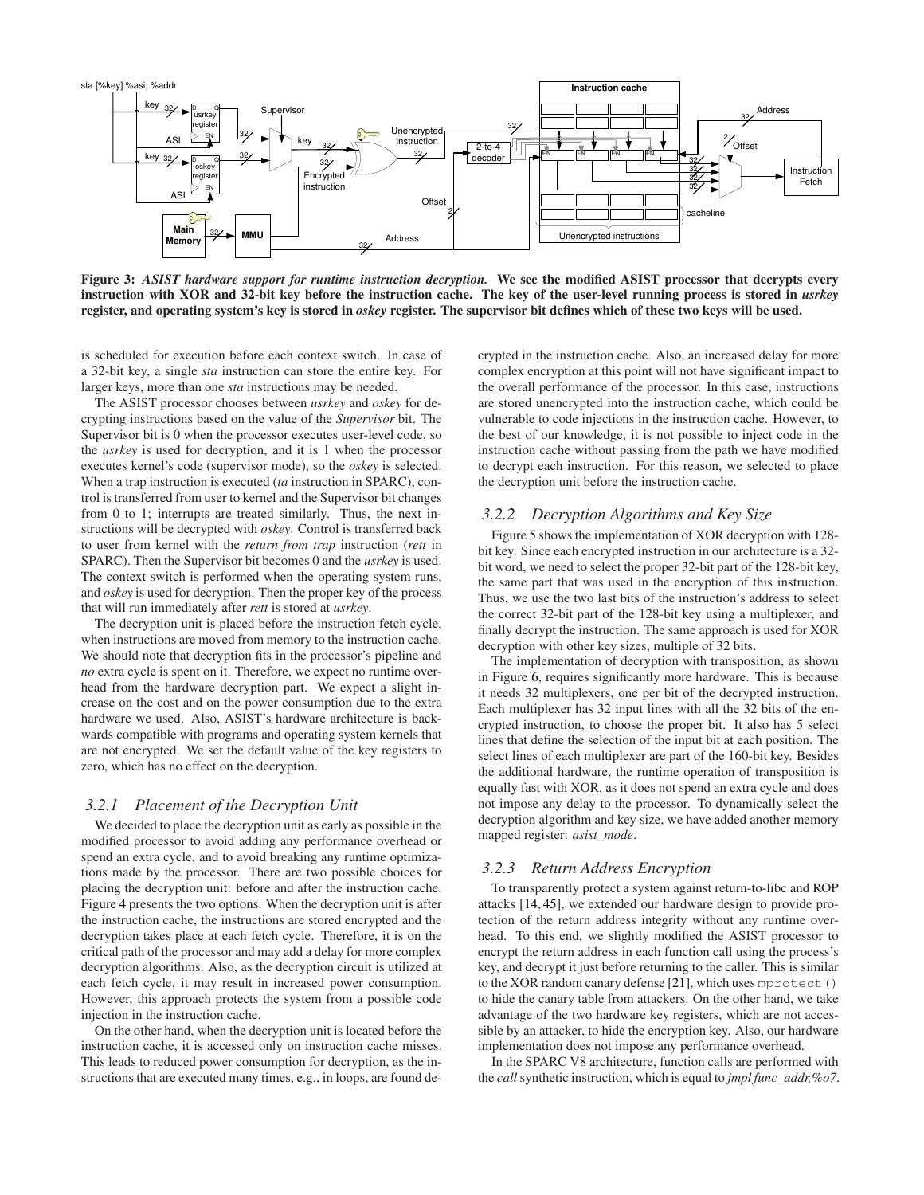

<span id="page-5-0"></span>**Figure 3:** *ASIST hardware support for runtime instruction decryption.* **We see the modified ASIST processor that decrypts every instruction with XOR and 32-bit key before the instruction cache. The key of the user-level running process is stored in** *usrkey* **register, and operating system's key is stored in** *oskey* **register. The supervisor bit defines which of these two keys will be used.**

is scheduled for execution before each context switch. In case of a 32-bit key, a single *sta* instruction can store the entire key. For larger keys, more than one *sta* instructions may be needed.

The ASIST processor chooses between *usrkey* and *oskey* for decrypting instructions based on the value of the *Supervisor* bit. The Supervisor bit is 0 when the processor executes user-level code, so the *usrkey* is used for decryption, and it is 1 when the processor executes kernel's code (supervisor mode), so the *oskey* is selected. When a trap instruction is executed (*ta* instruction in SPARC), control is transferred from user to kernel and the Supervisor bit changes from 0 to 1; interrupts are treated similarly. Thus, the next instructions will be decrypted with *oskey*. Control is transferred back to user from kernel with the *return from trap* instruction (*rett* in SPARC). Then the Supervisor bit becomes 0 and the *usrkey* is used. The context switch is performed when the operating system runs, and *oskey* is used for decryption. Then the proper key of the process that will run immediately after *rett* is stored at *usrkey*.

The decryption unit is placed before the instruction fetch cycle, when instructions are moved from memory to the instruction cache. We should note that decryption fits in the processor's pipeline and *no* extra cycle is spent on it. Therefore, we expect no runtime overhead from the hardware decryption part. We expect a slight increase on the cost and on the power consumption due to the extra hardware we used. Also, ASIST's hardware architecture is backwards compatible with programs and operating system kernels that are not encrypted. We set the default value of the key registers to zero, which has no effect on the decryption.

#### *3.2.1 Placement of the Decryption Unit*

We decided to place the decryption unit as early as possible in the modified processor to avoid adding any performance overhead or spend an extra cycle, and to avoid breaking any runtime optimizations made by the processor. There are two possible choices for placing the decryption unit: before and after the instruction cache. Figure [4](#page-6-0) presents the two options. When the decryption unit is after the instruction cache, the instructions are stored encrypted and the decryption takes place at each fetch cycle. Therefore, it is on the critical path of the processor and may add a delay for more complex decryption algorithms. Also, as the decryption circuit is utilized at each fetch cycle, it may result in increased power consumption. However, this approach protects the system from a possible code injection in the instruction cache.

On the other hand, when the decryption unit is located before the instruction cache, it is accessed only on instruction cache misses. This leads to reduced power consumption for decryption, as the instructions that are executed many times, e.g., in loops, are found decrypted in the instruction cache. Also, an increased delay for more complex encryption at this point will not have significant impact to the overall performance of the processor. In this case, instructions are stored unencrypted into the instruction cache, which could be vulnerable to code injections in the instruction cache. However, to the best of our knowledge, it is not possible to inject code in the instruction cache without passing from the path we have modified to decrypt each instruction. For this reason, we selected to place the decryption unit before the instruction cache.

#### <span id="page-5-1"></span>*3.2.2 Decryption Algorithms and Key Size*

Figure [5](#page-6-1) shows the implementation of XOR decryption with 128 bit key. Since each encrypted instruction in our architecture is a 32 bit word, we need to select the proper 32-bit part of the 128-bit key, the same part that was used in the encryption of this instruction. Thus, we use the two last bits of the instruction's address to select the correct 32-bit part of the 128-bit key using a multiplexer, and finally decrypt the instruction. The same approach is used for XOR decryption with other key sizes, multiple of 32 bits.

The implementation of decryption with transposition, as shown in Figure [6,](#page-6-2) requires significantly more hardware. This is because it needs 32 multiplexers, one per bit of the decrypted instruction. Each multiplexer has 32 input lines with all the 32 bits of the encrypted instruction, to choose the proper bit. It also has 5 select lines that define the selection of the input bit at each position. The select lines of each multiplexer are part of the 160-bit key. Besides the additional hardware, the runtime operation of transposition is equally fast with XOR, as it does not spend an extra cycle and does not impose any delay to the processor. To dynamically select the decryption algorithm and key size, we have added another memory mapped register: *asist\_mode*.

#### *3.2.3 Return Address Encryption*

To transparently protect a system against return-to-libc and ROP attacks [\[14,](#page-11-30) [45\]](#page-11-31), we extended our hardware design to provide protection of the return address integrity without any runtime overhead. To this end, we slightly modified the ASIST processor to encrypt the return address in each function call using the process's key, and decrypt it just before returning to the caller. This is similar to the XOR random canary defense [\[21\]](#page-11-3), which uses mprotect() to hide the canary table from attackers. On the other hand, we take advantage of the two hardware key registers, which are not accessible by an attacker, to hide the encryption key. Also, our hardware implementation does not impose any performance overhead.

In the SPARC V8 architecture, function calls are performed with the *call*synthetic instruction, which is equal to *jmpl func\_addr,%o7*.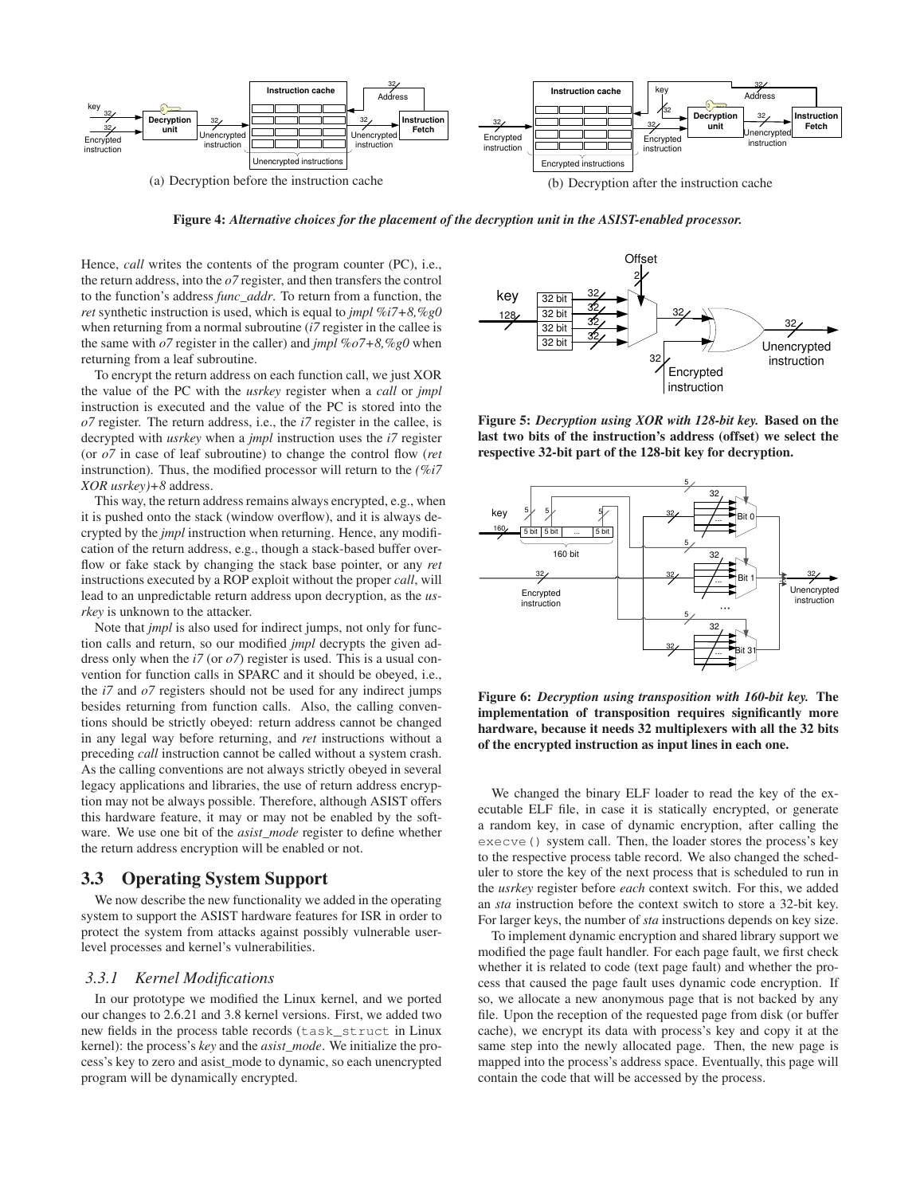

<span id="page-6-0"></span>**Figure 4:** *Alternative choices for the placement of the decryption unit in the ASIST-enabled processor.*

Hence, *call* writes the contents of the program counter (PC), i.e., the return address, into the *o7* register, and then transfers the control to the function's address *func\_addr*. To return from a function, the *ret* synthetic instruction is used, which is equal to *jmpl %i7+8,%g0* when returning from a normal subroutine (*i7* register in the callee is the same with *o7* register in the caller) and *jmpl %o7+8,%g0* when returning from a leaf subroutine.

To encrypt the return address on each function call, we just XOR the value of the PC with the *usrkey* register when a *call* or *jmpl* instruction is executed and the value of the PC is stored into the *o7* register. The return address, i.e., the *i7* register in the callee, is decrypted with *usrkey* when a *jmpl* instruction uses the *i7* register (or *o7* in case of leaf subroutine) to change the control flow (*ret* instrunction). Thus, the modified processor will return to the *(%i7 XOR usrkey)+8* address.

This way, the return address remains always encrypted, e.g., when it is pushed onto the stack (window overflow), and it is always decrypted by the *jmpl* instruction when returning. Hence, any modification of the return address, e.g., though a stack-based buffer overflow or fake stack by changing the stack base pointer, or any *ret* instructions executed by a ROP exploit without the proper *call*, will lead to an unpredictable return address upon decryption, as the *usrkey* is unknown to the attacker.

Note that *jmpl* is also used for indirect jumps, not only for function calls and return, so our modified *jmpl* decrypts the given address only when the *i7* (or *o7*) register is used. This is a usual convention for function calls in SPARC and it should be obeyed, i.e., the *i7* and *o7* registers should not be used for any indirect jumps besides returning from function calls. Also, the calling conventions should be strictly obeyed: return address cannot be changed in any legal way before returning, and *ret* instructions without a preceding *call* instruction cannot be called without a system crash. As the calling conventions are not always strictly obeyed in several legacy applications and libraries, the use of return address encryption may not be always possible. Therefore, although ASIST offers this hardware feature, it may or may not be enabled by the software. We use one bit of the *asist mode* register to define whether the return address encryption will be enabled or not.

#### <span id="page-6-3"></span>**3.3 Operating System Support**

We now describe the new functionality we added in the operating system to support the ASIST hardware features for ISR in order to protect the system from attacks against possibly vulnerable userlevel processes and kernel's vulnerabilities.

#### *3.3.1 Kernel Modifications*

In our prototype we modified the Linux kernel, and we ported our changes to 2.6.21 and 3.8 kernel versions. First, we added two new fields in the process table records (task\_struct in Linux kernel): the process's *key* and the *asist\_mode*. We initialize the process's key to zero and asist\_mode to dynamic, so each unencrypted program will be dynamically encrypted.



<span id="page-6-1"></span>**Figure 5:** *Decryption using XOR with 128-bit key.* **Based on the last two bits of the instruction's address (offset) we select the respective 32-bit part of the 128-bit key for decryption.**



<span id="page-6-2"></span>**Figure 6:** *Decryption using transposition with 160-bit key.* **The implementation of transposition requires significantly more hardware, because it needs 32 multiplexers with all the 32 bits of the encrypted instruction as input lines in each one.**

We changed the binary ELF loader to read the key of the executable ELF file, in case it is statically encrypted, or generate a random key, in case of dynamic encryption, after calling the execve() system call. Then, the loader stores the process's key to the respective process table record. We also changed the scheduler to store the key of the next process that is scheduled to run in the *usrkey* register before *each* context switch. For this, we added an *sta* instruction before the context switch to store a 32-bit key. For larger keys, the number of *sta* instructions depends on key size.

To implement dynamic encryption and shared library support we modified the page fault handler. For each page fault, we first check whether it is related to code (text page fault) and whether the process that caused the page fault uses dynamic code encryption. If so, we allocate a new anonymous page that is not backed by any file. Upon the reception of the requested page from disk (or buffer cache), we encrypt its data with process's key and copy it at the same step into the newly allocated page. Then, the new page is mapped into the process's address space. Eventually, this page will contain the code that will be accessed by the process.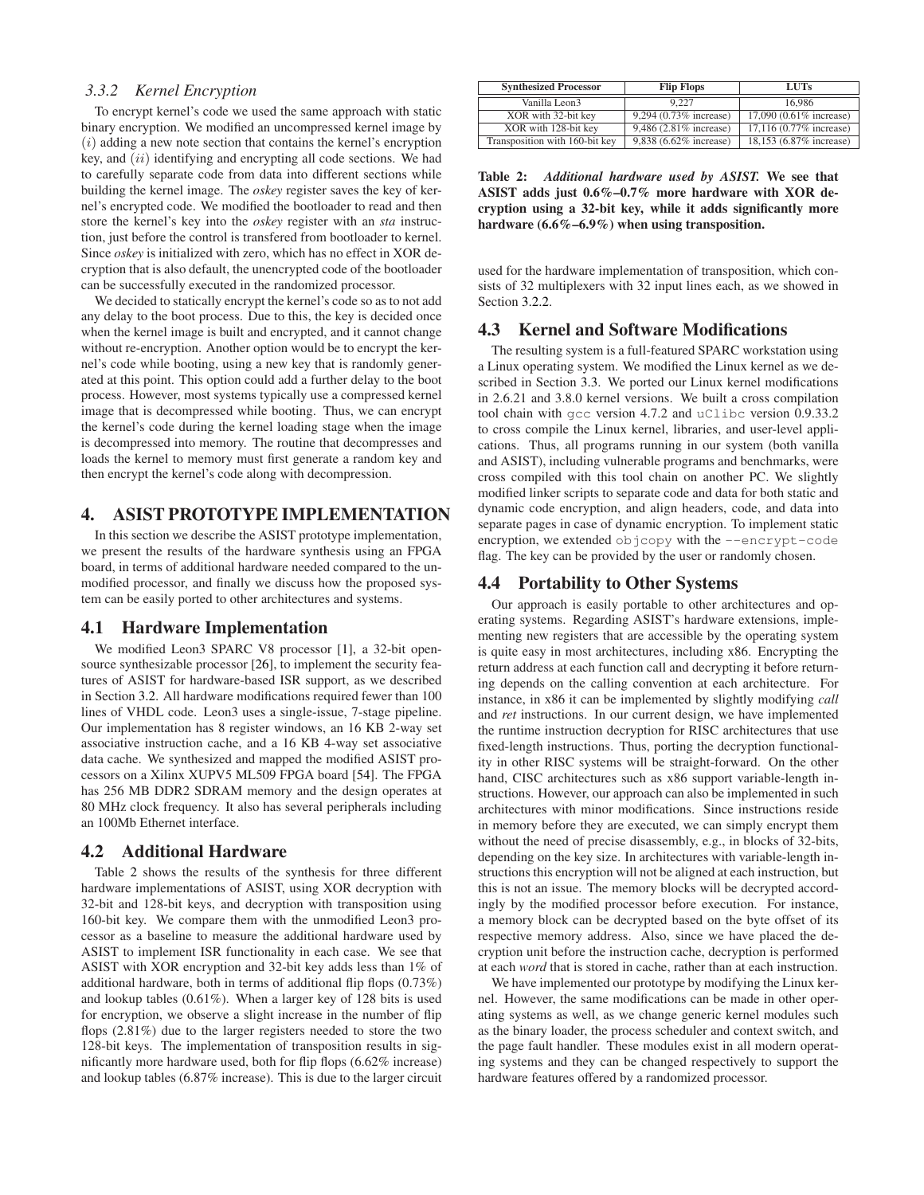# *3.3.2 Kernel Encryption*

To encrypt kernel's code we used the same approach with static binary encryption. We modified an uncompressed kernel image by  $(i)$  adding a new note section that contains the kernel's encryption key, and  $(ii)$  identifying and encrypting all code sections. We had to carefully separate code from data into different sections while building the kernel image. The *oskey* register saves the key of kernel's encrypted code. We modified the bootloader to read and then store the kernel's key into the *oskey* register with an *sta* instruction, just before the control is transfered from bootloader to kernel. Since *oskey* is initialized with zero, which has no effect in XOR decryption that is also default, the unencrypted code of the bootloader can be successfully executed in the randomized processor.

We decided to statically encrypt the kernel's code so as to not add any delay to the boot process. Due to this, the key is decided once when the kernel image is built and encrypted, and it cannot change without re-encryption. Another option would be to encrypt the kernel's code while booting, using a new key that is randomly generated at this point. This option could add a further delay to the boot process. However, most systems typically use a compressed kernel image that is decompressed while booting. Thus, we can encrypt the kernel's code during the kernel loading stage when the image is decompressed into memory. The routine that decompresses and loads the kernel to memory must first generate a random key and then encrypt the kernel's code along with decompression.

# <span id="page-7-1"></span>**4. ASIST PROTOTYPE IMPLEMENTATION**

In this section we describe the ASIST prototype implementation, we present the results of the hardware synthesis using an FPGA board, in terms of additional hardware needed compared to the unmodified processor, and finally we discuss how the proposed system can be easily ported to other architectures and systems.

#### **4.1 Hardware Implementation**

We modified Leon3 SPARC V8 processor [\[1\]](#page-11-33), a 32-bit opensource synthesizable processor [\[26\]](#page-11-34), to implement the security features of ASIST for hardware-based ISR support, as we described in Section [3.2.](#page-4-0) All hardware modifications required fewer than 100 lines of VHDL code. Leon3 uses a single-issue, 7-stage pipeline. Our implementation has 8 register windows, an 16 KB 2-way set associative instruction cache, and a 16 KB 4-way set associative data cache. We synthesized and mapped the modified ASIST processors on a Xilinx XUPV5 ML509 FPGA board [\[54\]](#page-11-42). The FPGA has 256 MB DDR2 SDRAM memory and the design operates at 80 MHz clock frequency. It also has several peripherals including an 100Mb Ethernet interface.

#### **4.2 Additional Hardware**

Table [2](#page-7-0) shows the results of the synthesis for three different hardware implementations of ASIST, using XOR decryption with 32-bit and 128-bit keys, and decryption with transposition using 160-bit key. We compare them with the unmodified Leon3 processor as a baseline to measure the additional hardware used by ASIST to implement ISR functionality in each case. We see that ASIST with XOR encryption and 32-bit key adds less than 1% of additional hardware, both in terms of additional flip flops (0.73%) and lookup tables (0.61%). When a larger key of 128 bits is used for encryption, we observe a slight increase in the number of flip flops (2.81%) due to the larger registers needed to store the two 128-bit keys. The implementation of transposition results in significantly more hardware used, both for flip flops (6.62% increase) and lookup tables (6.87% increase). This is due to the larger circuit

| <b>Synthesized Processor</b>   | <b>Flip Flops</b>      | <b>LUTs</b>                        |
|--------------------------------|------------------------|------------------------------------|
| Vanilla Leon3                  | 9.227                  | 16.986                             |
| XOR with 32-bit key            | 9,294 (0.73% increase) | 17,090 $(0.61\% \text{ increase})$ |
| XOR with 128-bit key           | 9,486 (2.81% increase) | 17,116 (0.77% increase)            |
| Transposition with 160-bit key | 9,838 (6.62% increase) | 18,153 (6.87% increase)            |

<span id="page-7-0"></span>**Table 2:** *Additional hardware used by ASIST.* **We see that ASIST adds just 0.6%–0.7% more hardware with XOR decryption using a 32-bit key, while it adds significantly more hardware (6.6%–6.9%) when using transposition.**

used for the hardware implementation of transposition, which consists of 32 multiplexers with 32 input lines each, as we showed in Section [3.2.2.](#page-5-1)

## **4.3 Kernel and Software Modifications**

The resulting system is a full-featured SPARC workstation using a Linux operating system. We modified the Linux kernel as we described in Section [3.3.](#page-6-3) We ported our Linux kernel modifications in 2.6.21 and 3.8.0 kernel versions. We built a cross compilation tool chain with gcc version 4.7.2 and uClibc version 0.9.33.2 to cross compile the Linux kernel, libraries, and user-level applications. Thus, all programs running in our system (both vanilla and ASIST), including vulnerable programs and benchmarks, were cross compiled with this tool chain on another PC. We slightly modified linker scripts to separate code and data for both static and dynamic code encryption, and align headers, code, and data into separate pages in case of dynamic encryption. To implement static encryption, we extended objcopy with the --encrypt-code flag. The key can be provided by the user or randomly chosen.

## **4.4 Portability to Other Systems**

Our approach is easily portable to other architectures and operating systems. Regarding ASIST's hardware extensions, implementing new registers that are accessible by the operating system is quite easy in most architectures, including x86. Encrypting the return address at each function call and decrypting it before returning depends on the calling convention at each architecture. For instance, in x86 it can be implemented by slightly modifying *call* and *ret* instructions. In our current design, we have implemented the runtime instruction decryption for RISC architectures that use fixed-length instructions. Thus, porting the decryption functionality in other RISC systems will be straight-forward. On the other hand, CISC architectures such as x86 support variable-length instructions. However, our approach can also be implemented in such architectures with minor modifications. Since instructions reside in memory before they are executed, we can simply encrypt them without the need of precise disassembly, e.g., in blocks of 32-bits, depending on the key size. In architectures with variable-length instructions this encryption will not be aligned at each instruction, but this is not an issue. The memory blocks will be decrypted accordingly by the modified processor before execution. For instance, a memory block can be decrypted based on the byte offset of its respective memory address. Also, since we have placed the decryption unit before the instruction cache, decryption is performed at each *word* that is stored in cache, rather than at each instruction.

We have implemented our prototype by modifying the Linux kernel. However, the same modifications can be made in other operating systems as well, as we change generic kernel modules such as the binary loader, the process scheduler and context switch, and the page fault handler. These modules exist in all modern operating systems and they can be changed respectively to support the hardware features offered by a randomized processor.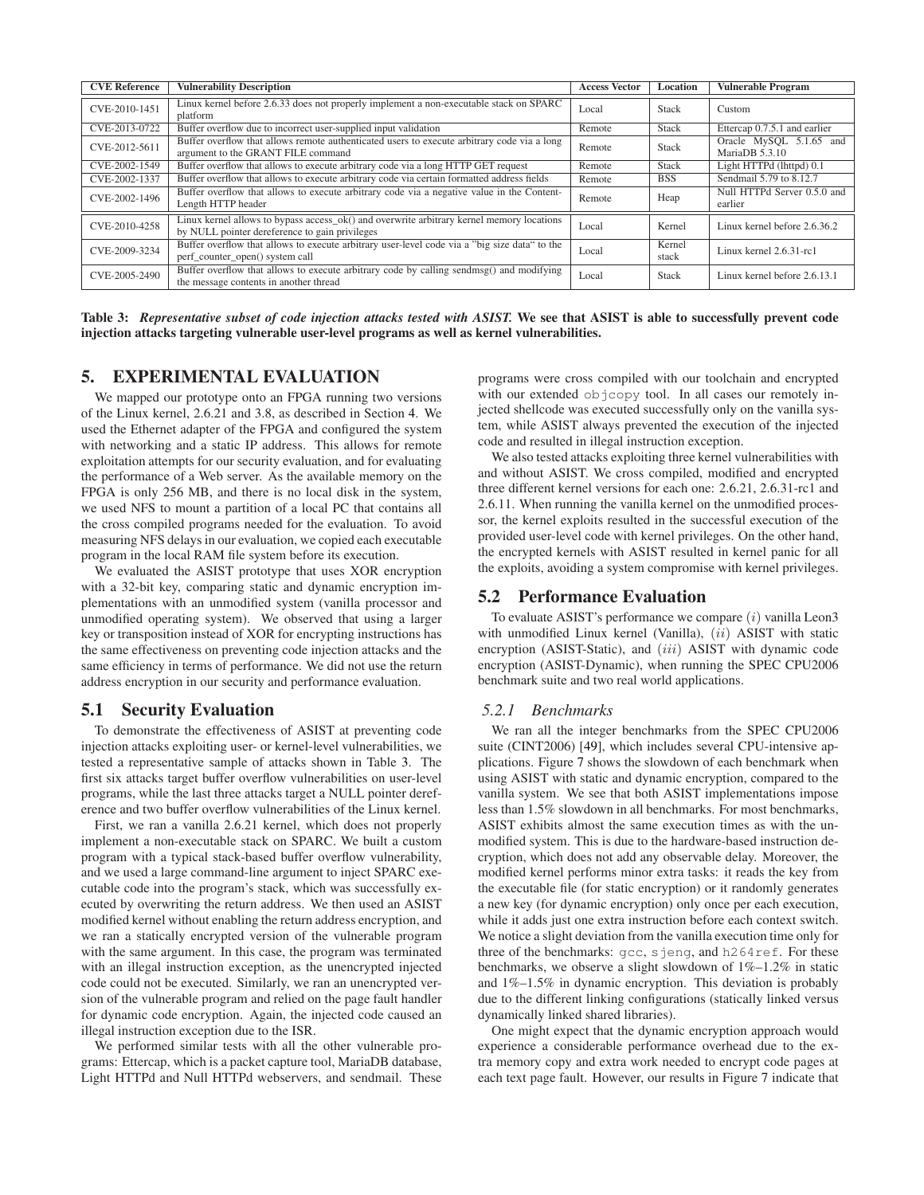| <b>CVE Reference</b> | <b>Vulnerability Description</b>                                                                                                            | <b>Access Vector</b> | Location        | <b>Vulnerable Program</b>                 |
|----------------------|---------------------------------------------------------------------------------------------------------------------------------------------|----------------------|-----------------|-------------------------------------------|
| CVE-2010-1451        | Linux kernel before 2.6.33 does not properly implement a non-executable stack on SPARC<br>platform                                          | Local                | Stack           | Custom                                    |
| CVE-2013-0722        | Buffer overflow due to incorrect user-supplied input validation                                                                             | Remote               | <b>Stack</b>    | Ettercap 0.7.5.1 and earlier              |
| CVE-2012-5611        | Buffer overflow that allows remote authenticated users to execute arbitrary code via a long<br>argument to the GRANT FILE command           | Remote               | <b>Stack</b>    | Oracle MySQL 5.1.65 and<br>MariaDB 5.3.10 |
| CVE-2002-1549        | Buffer overflow that allows to execute arbitrary code via a long HTTP GET request                                                           | Remote               | <b>Stack</b>    | Light HTTPd (lhttpd) 0.1                  |
| CVE-2002-1337        | Buffer overflow that allows to execute arbitrary code via certain formatted address fields                                                  | Remote               | <b>BSS</b>      | Sendmail 5.79 to 8.12.7                   |
| CVE-2002-1496        | Buffer overflow that allows to execute arbitrary code via a negative value in the Content-<br>Length HTTP header                            | Remote               | Heap            | Null HTTPd Server 0.5.0 and<br>earlier    |
| CVE-2010-4258        | Linux kernel allows to bypass access_ok() and overwrite arbitrary kernel memory locations<br>by NULL pointer dereference to gain privileges | Local                | Kernel          | Linux kernel before 2.6.36.2              |
| CVE-2009-3234        | Buffer overflow that allows to execute arbitrary user-level code via a "big size data" to the<br>perf_counter_open() system call            | Local                | Kernel<br>stack | Linux kernel $2.6.31$ -rc1                |
| CVE-2005-2490        | Buffer overflow that allows to execute arbitrary code by calling sendmsg() and modifying<br>the message contents in another thread          | Local                | <b>Stack</b>    | Linux kernel before 2.6.13.1              |

<span id="page-8-1"></span>**Table 3:** *Representative subset of code injection attacks tested with ASIST.* **We see that ASIST is able to successfully prevent code injection attacks targeting vulnerable user-level programs as well as kernel vulnerabilities.**

# <span id="page-8-0"></span>**5. EXPERIMENTAL EVALUATION**

We mapped our prototype onto an FPGA running two versions of the Linux kernel, 2.6.21 and 3.8, as described in Section [4.](#page-7-1) We used the Ethernet adapter of the FPGA and configured the system with networking and a static IP address. This allows for remote exploitation attempts for our security evaluation, and for evaluating the performance of a Web server. As the available memory on the FPGA is only 256 MB, and there is no local disk in the system, we used NFS to mount a partition of a local PC that contains all the cross compiled programs needed for the evaluation. To avoid measuring NFS delays in our evaluation, we copied each executable program in the local RAM file system before its execution.

We evaluated the ASIST prototype that uses XOR encryption with a 32-bit key, comparing static and dynamic encryption implementations with an unmodified system (vanilla processor and unmodified operating system). We observed that using a larger key or transposition instead of XOR for encrypting instructions has the same effectiveness on preventing code injection attacks and the same efficiency in terms of performance. We did not use the return address encryption in our security and performance evaluation.

# **5.1 Security Evaluation**

To demonstrate the effectiveness of ASIST at preventing code injection attacks exploiting user- or kernel-level vulnerabilities, we tested a representative sample of attacks shown in Table [3.](#page-8-1) The first six attacks target buffer overflow vulnerabilities on user-level programs, while the last three attacks target a NULL pointer dereference and two buffer overflow vulnerabilities of the Linux kernel.

First, we ran a vanilla 2.6.21 kernel, which does not properly implement a non-executable stack on SPARC. We built a custom program with a typical stack-based buffer overflow vulnerability, and we used a large command-line argument to inject SPARC executable code into the program's stack, which was successfully executed by overwriting the return address. We then used an ASIST modified kernel without enabling the return address encryption, and we ran a statically encrypted version of the vulnerable program with the same argument. In this case, the program was terminated with an illegal instruction exception, as the unencrypted injected code could not be executed. Similarly, we ran an unencrypted version of the vulnerable program and relied on the page fault handler for dynamic code encryption. Again, the injected code caused an illegal instruction exception due to the ISR.

We performed similar tests with all the other vulnerable programs: Ettercap, which is a packet capture tool, MariaDB database, Light HTTPd and Null HTTPd webservers, and sendmail. These programs were cross compiled with our toolchain and encrypted with our extended objcopy tool. In all cases our remotely injected shellcode was executed successfully only on the vanilla system, while ASIST always prevented the execution of the injected code and resulted in illegal instruction exception.

We also tested attacks exploiting three kernel vulnerabilities with and without ASIST. We cross compiled, modified and encrypted three different kernel versions for each one: 2.6.21, 2.6.31-rc1 and 2.6.11. When running the vanilla kernel on the unmodified processor, the kernel exploits resulted in the successful execution of the provided user-level code with kernel privileges. On the other hand, the encrypted kernels with ASIST resulted in kernel panic for all the exploits, avoiding a system compromise with kernel privileges.

#### **5.2 Performance Evaluation**

To evaluate ASIST's performance we compare  $(i)$  vanilla Leon3 with unmodified Linux kernel (Vanilla),  $(ii)$  ASIST with static encryption (ASIST-Static), and (iii) ASIST with dynamic code encryption (ASIST-Dynamic), when running the SPEC CPU2006 benchmark suite and two real world applications.

#### *5.2.1 Benchmarks*

We ran all the integer benchmarks from the SPEC CPU2006 suite (CINT2006) [\[49\]](#page-11-43), which includes several CPU-intensive applications. Figure [7](#page-9-0) shows the slowdown of each benchmark when using ASIST with static and dynamic encryption, compared to the vanilla system. We see that both ASIST implementations impose less than 1.5% slowdown in all benchmarks. For most benchmarks, ASIST exhibits almost the same execution times as with the unmodified system. This is due to the hardware-based instruction decryption, which does not add any observable delay. Moreover, the modified kernel performs minor extra tasks: it reads the key from the executable file (for static encryption) or it randomly generates a new key (for dynamic encryption) only once per each execution, while it adds just one extra instruction before each context switch. We notice a slight deviation from the vanilla execution time only for three of the benchmarks: gcc, sjeng, and h264ref. For these benchmarks, we observe a slight slowdown of 1%–1.2% in static and 1%–1.5% in dynamic encryption. This deviation is probably due to the different linking configurations (statically linked versus dynamically linked shared libraries).

One might expect that the dynamic encryption approach would experience a considerable performance overhead due to the extra memory copy and extra work needed to encrypt code pages at each text page fault. However, our results in Figure [7](#page-9-0) indicate that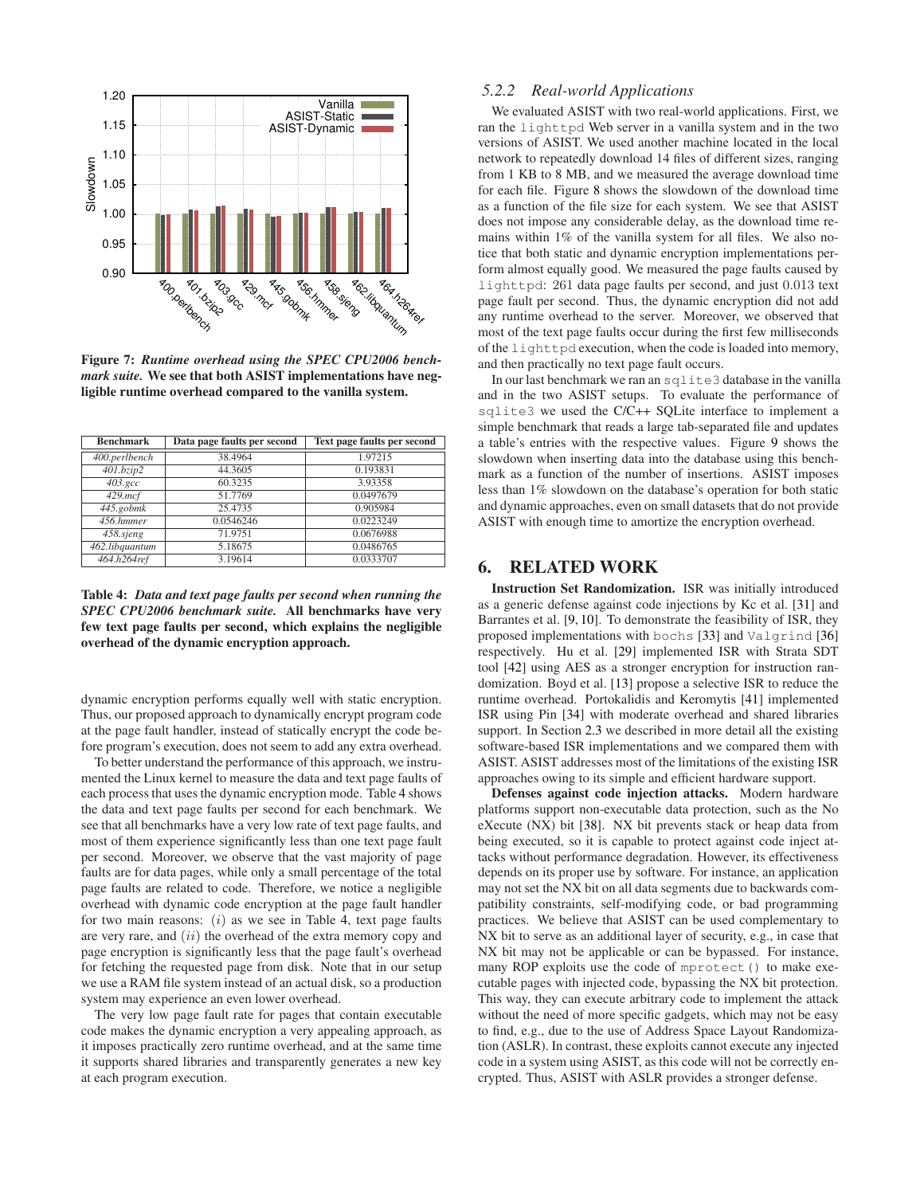

<span id="page-9-0"></span>**Figure 7:** *Runtime overhead using the SPEC CPU2006 benchmark suite.* **We see that both ASIST implementations have negligible runtime overhead compared to the vanilla system.**

| <b>Benchmark</b> | Data page faults per second | Text page faults per second |
|------------------|-----------------------------|-----------------------------|
| 400.perlbench    | 38.4964                     | 1.97215                     |
| 401.bzip2        | 44.3605                     | 0.193831                    |
| $403.\text{gcc}$ | 60.3235                     | 3.93358                     |
| $429$ .mcf       | 51.7769                     | 0.0497679                   |
| 445.gobmk        | 25.4735                     | 0.905984                    |
| 456.hmmer        | 0.0546246                   | 0.0223249                   |
| 458.sjeng        | 71.9751                     | 0.0676988                   |
| 462.libquantum   | 5.18675                     | 0.0486765                   |
| 464.h264ref      | 3.19614                     | 0.0333707                   |

<span id="page-9-1"></span>**Table 4:** *Data and text page faults per second when running the SPEC CPU2006 benchmark suite.* **All benchmarks have very few text page faults per second, which explains the negligible overhead of the dynamic encryption approach.**

dynamic encryption performs equally well with static encryption. Thus, our proposed approach to dynamically encrypt program code at the page fault handler, instead of statically encrypt the code before program's execution, does not seem to add any extra overhead.

To better understand the performance of this approach, we instrumented the Linux kernel to measure the data and text page faults of each process that uses the dynamic encryption mode. Table [4](#page-9-1) shows the data and text page faults per second for each benchmark. We see that all benchmarks have a very low rate of text page faults, and most of them experience significantly less than one text page fault per second. Moreover, we observe that the vast majority of page faults are for data pages, while only a small percentage of the total page faults are related to code. Therefore, we notice a negligible overhead with dynamic code encryption at the page fault handler for two main reasons:  $(i)$  as we see in Table [4,](#page-9-1) text page faults are very rare, and  $(ii)$  the overhead of the extra memory copy and page encryption is significantly less that the page fault's overhead for fetching the requested page from disk. Note that in our setup we use a RAM file system instead of an actual disk, so a production system may experience an even lower overhead.

The very low page fault rate for pages that contain executable code makes the dynamic encryption a very appealing approach, as it imposes practically zero runtime overhead, and at the same time it supports shared libraries and transparently generates a new key at each program execution.

#### *5.2.2 Real-world Applications*

We evaluated ASIST with two real-world applications. First, we ran the lighttpd Web server in a vanilla system and in the two versions of ASIST. We used another machine located in the local network to repeatedly download 14 files of different sizes, ranging from 1 KB to 8 MB, and we measured the average download time for each file. Figure [8](#page-10-0) shows the slowdown of the download time as a function of the file size for each system. We see that ASIST does not impose any considerable delay, as the download time remains within 1% of the vanilla system for all files. We also notice that both static and dynamic encryption implementations perform almost equally good. We measured the page faults caused by lighttpd: 261 data page faults per second, and just 0.013 text page fault per second. Thus, the dynamic encryption did not add any runtime overhead to the server. Moreover, we observed that most of the text page faults occur during the first few milliseconds of the lighttpd execution, when the code is loaded into memory, and then practically no text page fault occurs.

In our last benchmark we ran an sqlite3 database in the vanilla and in the two ASIST setups. To evaluate the performance of sqlite3 we used the C/C++ SOLite interface to implement a simple benchmark that reads a large tab-separated file and updates a table's entries with the respective values. Figure [9](#page-10-1) shows the slowdown when inserting data into the database using this benchmark as a function of the number of insertions. ASIST imposes less than 1% slowdown on the database's operation for both static and dynamic approaches, even on small datasets that do not provide ASIST with enough time to amortize the encryption overhead.

# **6. RELATED WORK**

**Instruction Set Randomization.** ISR was initially introduced as a generic defense against code injections by Kc et al. [\[31\]](#page-11-24) and Barrantes et al. [\[9,](#page-11-20) [10\]](#page-11-21). To demonstrate the feasibility of ISR, they proposed implementations with bochs [\[33\]](#page-11-37) and Valgrind [\[36\]](#page-11-39) respectively. Hu et al. [\[29\]](#page-11-23) implemented ISR with Strata SDT tool [\[42\]](#page-11-40) using AES as a stronger encryption for instruction randomization. Boyd et al. [\[13\]](#page-11-22) propose a selective ISR to reduce the runtime overhead. Portokalidis and Keromytis [\[41\]](#page-11-25) implemented ISR using Pin [\[34\]](#page-11-38) with moderate overhead and shared libraries support. In Section [2.3](#page-2-1) we described in more detail all the existing software-based ISR implementations and we compared them with ASIST. ASIST addresses most of the limitations of the existing ISR approaches owing to its simple and efficient hardware support.

**Defenses against code injection attacks.** Modern hardware platforms support non-executable data protection, such as the No eXecute (NX) bit [\[38\]](#page-11-44). NX bit prevents stack or heap data from being executed, so it is capable to protect against code inject attacks without performance degradation. However, its effectiveness depends on its proper use by software. For instance, an application may not set the NX bit on all data segments due to backwards compatibility constraints, self-modifying code, or bad programming practices. We believe that ASIST can be used complementary to NX bit to serve as an additional layer of security, e.g., in case that NX bit may not be applicable or can be bypassed. For instance, many ROP exploits use the code of mprotect() to make executable pages with injected code, bypassing the NX bit protection. This way, they can execute arbitrary code to implement the attack without the need of more specific gadgets, which may not be easy to find, e.g., due to the use of Address Space Layout Randomization (ASLR). In contrast, these exploits cannot execute any injected code in a system using ASIST, as this code will not be correctly encrypted. Thus, ASIST with ASLR provides a stronger defense.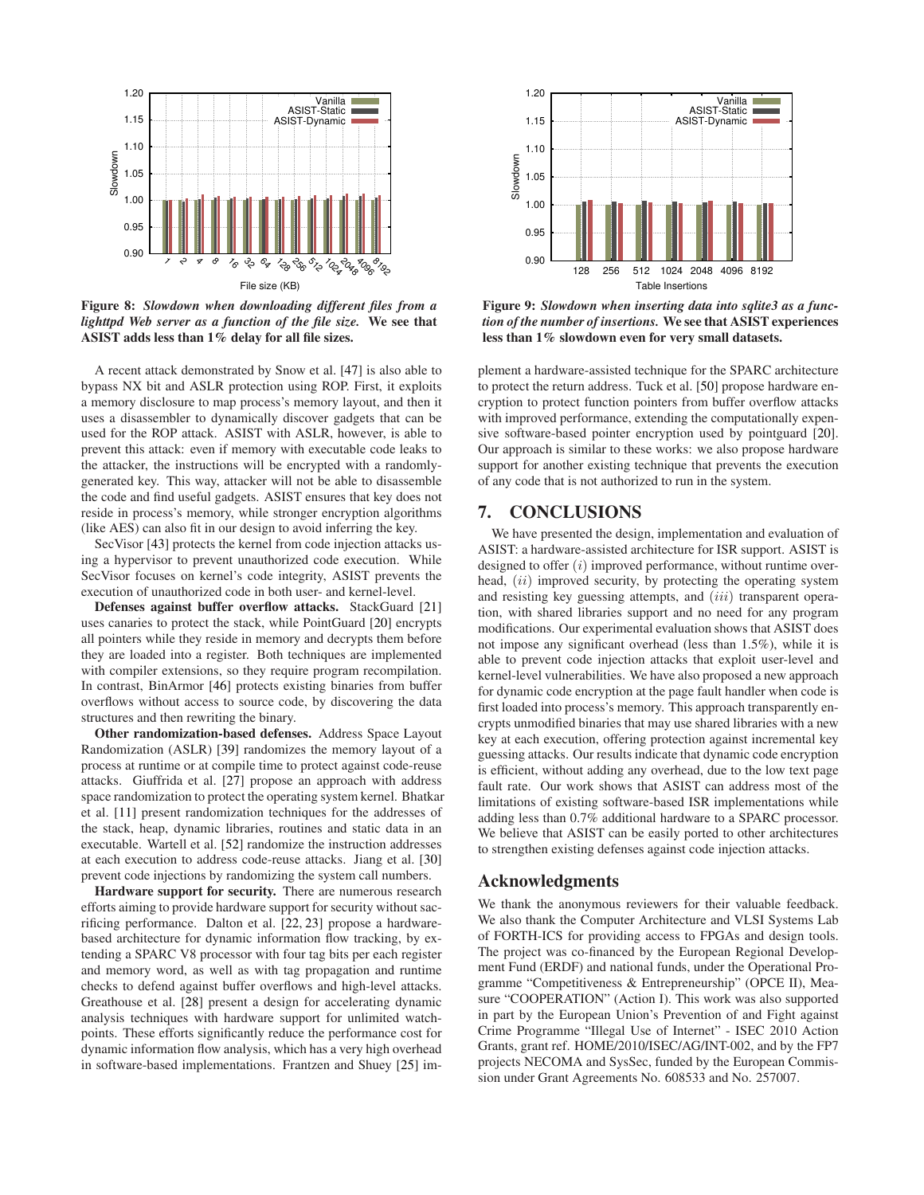

<span id="page-10-0"></span>**Figure 8:** *Slowdown when downloading different files from a lighttpd Web server as a function of the file size.* **We see that ASIST adds less than 1% delay for all file sizes.**

A recent attack demonstrated by Snow et al. [\[47\]](#page-11-45) is also able to bypass NX bit and ASLR protection using ROP. First, it exploits a memory disclosure to map process's memory layout, and then it uses a disassembler to dynamically discover gadgets that can be used for the ROP attack. ASIST with ASLR, however, is able to prevent this attack: even if memory with executable code leaks to the attacker, the instructions will be encrypted with a randomlygenerated key. This way, attacker will not be able to disassemble the code and find useful gadgets. ASIST ensures that key does not reside in process's memory, while stronger encryption algorithms (like AES) can also fit in our design to avoid inferring the key.

SecVisor [\[43\]](#page-11-46) protects the kernel from code injection attacks using a hypervisor to prevent unauthorized code execution. While SecVisor focuses on kernel's code integrity, ASIST prevents the execution of unauthorized code in both user- and kernel-level.

**Defenses against buffer overflow attacks.** StackGuard [\[21\]](#page-11-3) uses canaries to protect the stack, while PointGuard [\[20\]](#page-11-2) encrypts all pointers while they reside in memory and decrypts them before they are loaded into a register. Both techniques are implemented with compiler extensions, so they require program recompilation. In contrast, BinArmor [\[46\]](#page-11-47) protects existing binaries from buffer overflows without access to source code, by discovering the data structures and then rewriting the binary.

**Other randomization-based defenses.** Address Space Layout Randomization (ASLR) [\[39\]](#page-11-48) randomizes the memory layout of a process at runtime or at compile time to protect against code-reuse attacks. Giuffrida et al. [\[27\]](#page-11-49) propose an approach with address space randomization to protect the operating system kernel. Bhatkar et al. [\[11\]](#page-11-50) present randomization techniques for the addresses of the stack, heap, dynamic libraries, routines and static data in an executable. Wartell et al. [\[52\]](#page-11-51) randomize the instruction addresses at each execution to address code-reuse attacks. Jiang et al. [\[30\]](#page-11-52) prevent code injections by randomizing the system call numbers.

**Hardware support for security.** There are numerous research efforts aiming to provide hardware support for security without sacrificing performance. Dalton et al. [\[22,](#page-11-53) [23\]](#page-11-4) propose a hardwarebased architecture for dynamic information flow tracking, by extending a SPARC V8 processor with four tag bits per each register and memory word, as well as with tag propagation and runtime checks to defend against buffer overflows and high-level attacks. Greathouse et al. [\[28\]](#page-11-28) present a design for accelerating dynamic analysis techniques with hardware support for unlimited watchpoints. These efforts significantly reduce the performance cost for dynamic information flow analysis, which has a very high overhead in software-based implementations. Frantzen and Shuey [\[25\]](#page-11-5) im-



<span id="page-10-1"></span>**Figure 9:** *Slowdown when inserting data into sqlite3 as a function of the number of insertions.* **We see that ASIST experiences less than 1% slowdown even for very small datasets.**

plement a hardware-assisted technique for the SPARC architecture to protect the return address. Tuck et al. [\[50\]](#page-11-6) propose hardware encryption to protect function pointers from buffer overflow attacks with improved performance, extending the computationally expensive software-based pointer encryption used by pointguard [\[20\]](#page-11-2). Our approach is similar to these works: we also propose hardware support for another existing technique that prevents the execution of any code that is not authorized to run in the system.

# **7. CONCLUSIONS**

We have presented the design, implementation and evaluation of ASIST: a hardware-assisted architecture for ISR support. ASIST is designed to offer  $(i)$  improved performance, without runtime overhead,  $(ii)$  improved security, by protecting the operating system and resisting key guessing attempts, and  $(iii)$  transparent operation, with shared libraries support and no need for any program modifications. Our experimental evaluation shows that ASIST does not impose any significant overhead (less than 1.5%), while it is able to prevent code injection attacks that exploit user-level and kernel-level vulnerabilities. We have also proposed a new approach for dynamic code encryption at the page fault handler when code is first loaded into process's memory. This approach transparently encrypts unmodified binaries that may use shared libraries with a new key at each execution, offering protection against incremental key guessing attacks. Our results indicate that dynamic code encryption is efficient, without adding any overhead, due to the low text page fault rate. Our work shows that ASIST can address most of the limitations of existing software-based ISR implementations while adding less than 0.7% additional hardware to a SPARC processor. We believe that ASIST can be easily ported to other architectures to strengthen existing defenses against code injection attacks.

## **Acknowledgments**

We thank the anonymous reviewers for their valuable feedback. We also thank the Computer Architecture and VLSI Systems Lab of FORTH-ICS for providing access to FPGAs and design tools. The project was co-financed by the European Regional Development Fund (ERDF) and national funds, under the Operational Programme "Competitiveness & Entrepreneurship" (OPCE II), Measure "COOPERATION" (Action I). This work was also supported in part by the European Union's Prevention of and Fight against Crime Programme "Illegal Use of Internet" - ISEC 2010 Action Grants, grant ref. HOME/2010/ISEC/AG/INT-002, and by the FP7 projects NECOMA and SysSec, funded by the European Commission under Grant Agreements No. 608533 and No. 257007.